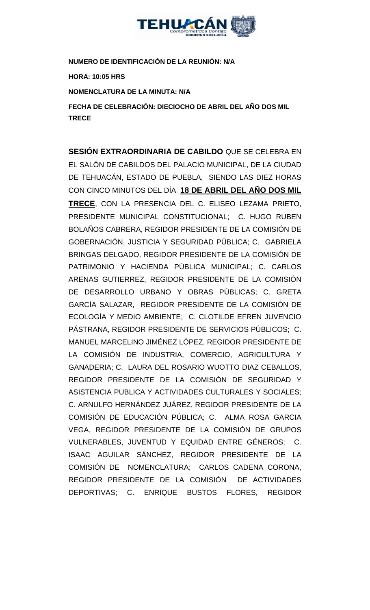

**NUMERO DE IDENTIFICACIÓN DE LA REUNIÓN: N/A**

**HORA: 10:05 HRS**

**NOMENCLATURA DE LA MINUTA: N/A**

**FECHA DE CELEBRACIÓN: DIECIOCHO DE ABRIL DEL AÑO DOS MIL TRECE** 

**SESIÓN EXTRAORDINARIA DE CABILDO** QUE SE CELEBRA EN EL SALÓN DE CABILDOS DEL PALACIO MUNICIPAL, DE LA CIUDAD DE TEHUACÁN, ESTADO DE PUEBLA, SIENDO LAS DIEZ HORAS CON CINCO MINUTOS DEL DÍA **18 DE ABRIL DEL AÑO DOS MIL TRECE**, CON LA PRESENCIA DEL C. ELISEO LEZAMA PRIETO, PRESIDENTE MUNICIPAL CONSTITUCIONAL; C. HUGO RUBEN BOLAÑOS CABRERA, REGIDOR PRESIDENTE DE LA COMISIÓN DE GOBERNACIÓN, JUSTICIA Y SEGURIDAD PÚBLICA; C. GABRIELA BRINGAS DELGADO, REGIDOR PRESIDENTE DE LA COMISIÓN DE PATRIMONIO Y HACIENDA PÚBLICA MUNICIPAL; C. CARLOS ARENAS GUTIERREZ, REGIDOR PRESIDENTE DE LA COMISIÓN DE DESARROLLO URBANO Y OBRAS PÚBLICAS; C. GRETA GARCÍA SALAZAR, REGIDOR PRESIDENTE DE LA COMISIÓN DE ECOLOGÍA Y MEDIO AMBIENTE; C. CLOTILDE EFREN JUVENCIO PÁSTRANA, REGIDOR PRESIDENTE DE SERVICIOS PÚBLICOS; C. MANUEL MARCELINO JIMÉNEZ LÓPEZ, REGIDOR PRESIDENTE DE LA COMISIÓN DE INDUSTRIA, COMERCIO, AGRICULTURA Y GANADERIA; C. LAURA DEL ROSARIO WUOTTO DIAZ CEBALLOS, REGIDOR PRESIDENTE DE LA COMISIÓN DE SEGURIDAD Y ASISTENCIA PUBLICA Y ACTIVIDADES CULTURALES Y SOCIALES; C. ARNULFO HERNÁNDEZ JUÁREZ, REGIDOR PRESIDENTE DE LA COMISIÓN DE EDUCACIÓN PÚBLICA; C. ALMA ROSA GARCIA VEGA, REGIDOR PRESIDENTE DE LA COMISIÓN DE GRUPOS VULNERABLES, JUVENTUD Y EQUIDAD ENTRE GÉNEROS; C. ISAAC AGUILAR SÁNCHEZ, REGIDOR PRESIDENTE DE LA COMISIÓN DE NOMENCLATURA; CARLOS CADENA CORONA, REGIDOR PRESIDENTE DE LA COMISIÓN DE ACTIVIDADES DEPORTIVAS; C. ENRIQUE BUSTOS FLORES, REGIDOR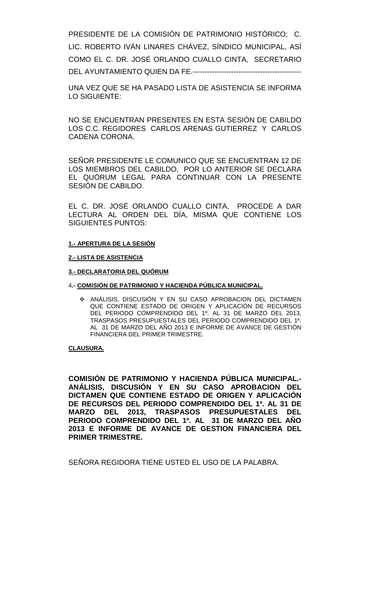PRESIDENTE DE LA COMISIÓN DE PATRIMONIO HISTÓRICO; C. LIC. ROBERTO IVÁN LINARES CHÁVEZ, SÍNDICO MUNICIPAL, ASÍ COMO EL C. DR. JOSÉ ORLANDO CUALLO CINTA, SECRETARIO DEL AYUNTAMIENTO QUIEN DA FE.---------------------------------------------

UNA VEZ QUE SE HA PASADO LISTA DE ASISTENCIA SE INFORMA LO SIGUIENTE:

NO SE ENCUENTRAN PRESENTES EN ESTA SESIÓN DE CABILDO LOS C.C. REGIDORES CARLOS ARENAS GUTIERREZ Y CARLOS CADENA CORONA.

SEÑOR PRESIDENTE LE COMUNICO QUE SE ENCUENTRAN 12 DE LOS MIEMBROS DEL CABILDO, POR LO ANTERIOR SE DECLARA EL QUÓRUM LEGAL PARA CONTINUAR CON LA PRESENTE SESIÓN DE CABILDO.

EL C. DR. JOSÉ ORLANDO CUALLO CINTA, PROCEDE A DAR LECTURA AL ORDEN DEL DÍA, MISMA QUE CONTIENE LOS SIGUIENTES PUNTOS:

#### **1.- APERTURA DE LA SESIÓN**

### **2.- LISTA DE ASISTENCIA**

#### **3.- DECLARATORIA DEL QUÓRUM**

#### 4**.- COMISIÓN DE PATRIMONIO Y HACIENDA PÚBLICA MUNICIPAL.**

 ANÁLISIS, DISCUSIÓN Y EN SU CASO APROBACION DEL DICTAMEN QUE CONTIENE ESTADO DE ORIGEN Y APLICACIÓN DE RECURSOS DEL PERIODO COMPRENDIDO DEL 1º. AL 31 DE MARZO DEL 2013, TRASPASOS PRESUPUESTALES DEL PERIODO COMPRENDIDO DEL 1º. AL 31 DE MARZO DEL AÑO 2013 E INFORME DE AVANCE DE GESTIÓN FINANCIERA DEL PRIMER TRIMESTRE.

### **CLAUSURA.**

**COMISIÓN DE PATRIMONIO Y HACIENDA PÚBLICA MUNICIPAL.- ANÁLISIS, DISCUSIÓN Y EN SU CASO APROBACION DEL DICTAMEN QUE CONTIENE ESTADO DE ORIGEN Y APLICACIÓN DE RECURSOS DEL PERIODO COMPRENDIDO DEL 1º. AL 31 DE MARZO DEL 2013, TRASPASOS PRESUPUESTALES DEL PERIODO COMPRENDIDO DEL 1º. AL 31 DE MARZO DEL AÑO 2013 E INFORME DE AVANCE DE GESTION FINANCIERA DEL PRIMER TRIMESTRE.**

SEÑORA REGIDORA TIENE USTED EL USO DE LA PALABRA.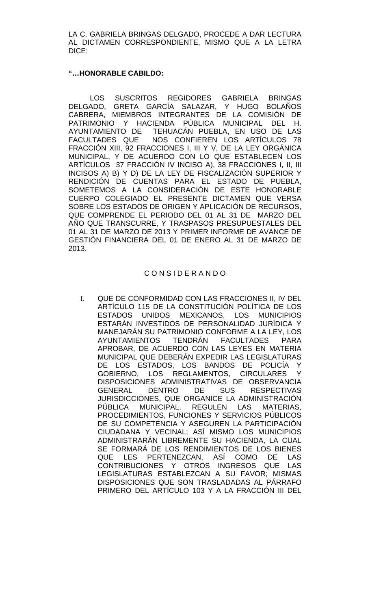LA C. GABRIELA BRINGAS DELGADO, PROCEDE A DAR LECTURA AL DICTAMEN CORRESPONDIENTE, MISMO QUE A LA LETRA DICE:

## **"…HONORABLE CABILDO:**

LOS SUSCRITOS REGIDORES GABRIELA BRINGAS DELGADO, GRETA GARCÍA SALAZAR, Y HUGO BOLAÑOS CABRERA, MIEMBROS INTEGRANTES DE LA COMISIÓN DE PATRIMONIO Y HACIENDA PÚBLICA MUNICIPAL DEL H. AYUNTAMIENTO DE TEHUACÁN PUEBLA, EN USO DE LAS<br>FACULTADES QUE NOS CONFIEREN LOS ARTÍCULOS 78 NOS CONFIEREN LOS ARTÍCULOS 78 FRACCIÓN XIII, 92 FRACCIONES I, III Y V, DE LA LEY ORGÁNICA MUNICIPAL, Y DE ACUERDO CON LO QUE ESTABLECEN LOS ARTÍCULOS 37 FRACCIÓN IV INCISO A), 38 FRACCIONES I, II, III INCISOS A) B) Y D) DE LA LEY DE FISCALIZACIÓN SUPERIOR Y RENDICIÓN DE CUENTAS PARA EL ESTADO DE PUEBLA, SOMETEMOS A LA CONSIDERACIÓN DE ESTE HONORABLE CUERPO COLEGIADO EL PRESENTE DICTAMEN QUE VERSA SOBRE LOS ESTADOS DE ORIGEN Y APLICACIÓN DE RECURSOS, QUE COMPRENDE EL PERIODO DEL 01 AL 31 DE MARZO DEL AÑO QUE TRANSCURRE, Y TRASPASOS PRESUPUESTALES DEL 01 AL 31 DE MARZO DE 2013 Y PRIMER INFORME DE AVANCE DE GESTIÓN FINANCIERA DEL 01 DE ENERO AL 31 DE MARZO DE 2013.

## C O N S I D E R A N D O

I. QUE DE CONFORMIDAD CON LAS FRACCIONES II, IV DEL ARTÍCULO 115 DE LA CONSTITUCIÓN POLÍTICA DE LOS ESTADOS UNIDOS MEXICANOS, LOS MUNICIPIOS ESTARÁN INVESTIDOS DE PERSONALIDAD JURÍDICA Y MANEJARÁN SU PATRIMONIO CONFORME A LA LEY, LOS AYUNTAMIENTOS TENDRÁN FACULTADES PARA APROBAR, DE ACUERDO CON LAS LEYES EN MATERIA MUNICIPAL QUE DEBERÁN EXPEDIR LAS LEGISLATURAS DE LOS ESTADOS, LOS BANDOS DE POLICÍA Y GOBIERNO, LOS REGLAMENTOS, CIRCULARES Y DISPOSICIONES ADMINISTRATIVAS DE OBSERVANCIA GENERAL DENTRO DE SUS RESPECTIVAS JURISDICCIONES, QUE ORGANICE LA ADMINISTRACIÓN PÚBLICA MUNICIPAL, REGULEN LAS MATERIAS, PROCEDIMIENTOS, FUNCIONES Y SERVICIOS PÚBLICOS DE SU COMPETENCIA Y ASEGUREN LA PARTICIPACIÓN CIUDADANA Y VECINAL; ASÍ MISMO LOS MUNICIPIOS ADMINISTRARÁN LIBREMENTE SU HACIENDA, LA CUAL SE FORMARÁ DE LOS RENDIMIENTOS DE LOS BIENES QUE LES PERTENEZCAN, ASÍ COMO DE LAS CONTRIBUCIONES Y OTROS INGRESOS QUE LAS LEGISLATURAS ESTABLEZCAN A SU FAVOR; MISMAS DISPOSICIONES QUE SON TRASLADADAS AL PÁRRAFO PRIMERO DEL ARTÍCULO 103 Y A LA FRACCIÓN III DEL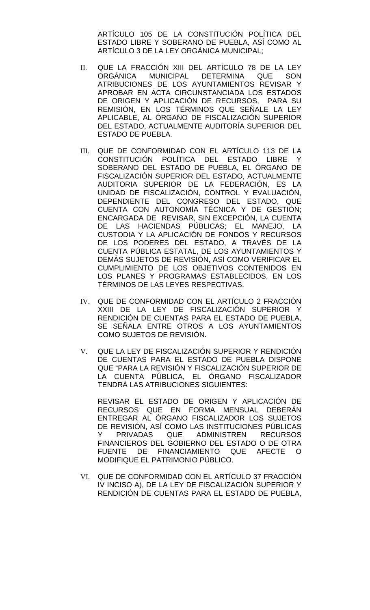ARTÍCULO 105 DE LA CONSTITUCIÓN POLÍTICA DEL ESTADO LIBRE Y SOBERANO DE PUEBLA, ASÍ COMO AL ARTÍCULO 3 DE LA LEY ORGÁNICA MUNICIPAL;

- II. QUE LA FRACCIÓN XIII DEL ARTÍCULO 78 DE LA LEY MUNICIPAL DETERMINA QUE SON ATRIBUCIONES DE LOS AYUNTAMIENTOS REVISAR Y APROBAR EN ACTA CIRCUNSTANCIADA LOS ESTADOS DE ORIGEN Y APLICACIÓN DE RECURSOS, PARA SU REMISION, EN LOS TERMINOS QUE SENALE LA LEY APLICABLE, AL ÓRGANO DE FISCALIZACIÓN SUPERIOR DEL ESTADO, ACTUALMENTE AUDITORÍA SUPERIOR DEL ESTADO DE PUEBLA.
- III. QUE DE CONFORMIDAD CON EL ARTÍCULO 113 DE LA<br>CONSTITUCIÓN POLÍTICA DEL ESTADO LIBRE Y CONSTITUCIÓN POLÍTICA DEL ESTADO LIBRE SOBERANO DEL ESTADO DE PUEBLA, EL ÓRGANO DE FISCALIZACIÓN SUPERIOR DEL ESTADO, ACTUALMENTE AUDITORIA SUPERIOR DE LA FEDERACIÓN, ES LA UNIDAD DE FISCALIZACIÓN, CONTROL Y EVALUACIÓN, DEPENDIENTE DEL CONGRESO DEL ESTADO, QUE CUENTA CON AUTONOMÍA TÉCNICA Y DE GESTIÓN; ENCARGADA DE REVISAR, SIN EXCEPCIÓN, LA CUENTA DE LAS HACIENDAS PÚBLICAS; EL MANEJO, LA CUSTODIA Y LA APLICACIÓN DE FONDOS Y RECURSOS DE LOS PODERES DEL ESTADO, A TRAVÉS DE LA CUENTA PÚBLICA ESTATAL, DE LOS AYUNTAMIENTOS Y DEMÁS SUJETOS DE REVISIÓN, ASÍ COMO VERIFICAR EL CUMPLIMIENTO DE LOS OBJETIVOS CONTENIDOS EN LOS PLANES Y PROGRAMAS ESTABLECIDOS, EN LOS TÉRMINOS DE LAS LEYES RESPECTIVAS.
- IV. QUE DE CONFORMIDAD CON EL ARTÍCULO 2 FRACCIÓN XXIII DE LA LEY DE FISCALIZACIÓN SUPERIOR Y RENDICIÓN DE CUENTAS PARA EL ESTADO DE PUEBLA, SE SEÑALA ENTRE OTROS A LOS AYUNTAMIENTOS COMO SUJETOS DE REVISIÓN.
- V. QUE LA LEY DE FISCALIZACIÓN SUPERIOR Y RENDICIÓN DE CUENTAS PARA EL ESTADO DE PUEBLA DISPONE QUE "PARA LA REVISIÓN Y FISCALIZACIÓN SUPERIOR DE LA CUENTA PÚBLICA, EL ÓRGANO FISCALIZADOR TENDRÁ LAS ATRIBUCIONES SIGUIENTES:

REVISAR EL ESTADO DE ORIGEN Y APLICACIÓN DE RECURSOS QUE EN FORMA MENSUAL DEBERÁN ENTREGAR AL ÓRGANO FISCALIZADOR LOS SUJETOS DE REVISIÓN, ASÍ COMO LAS INSTITUCIONES PÚBLICAS<br>Y PRIVADAS QUE ADMINISTREN RECURSOS Y PRIVADAS QUE ADMINISTREN FINANCIEROS DEL GOBIERNO DEL ESTADO O DE OTRA<br>FUENTE DE FINANCIAMIENTO QUE AFECTE O FUENTE DE FINANCIAMIENTO MODIFIQUE EL PATRIMONIO PÚBLICO.

VI. QUE DE CONFORMIDAD CON EL ARTÍCULO 37 FRACCIÓN IV INCISO A), DE LA LEY DE FISCALIZACIÓN SUPERIOR Y RENDICIÓN DE CUENTAS PARA EL ESTADO DE PUEBLA,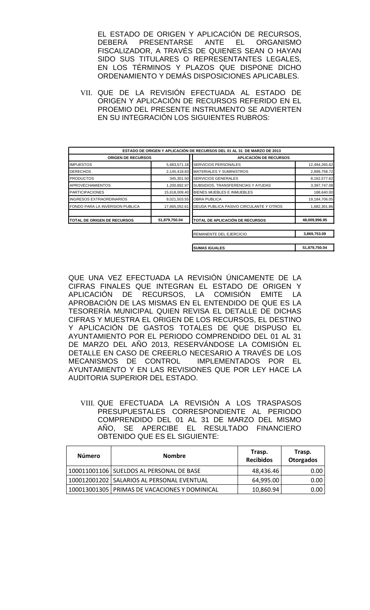EL ESTADO DE ORIGEN Y APLICACIÓN DE RECURSOS,<br>DEBERÁ PRESENTARSE ANTE EL ORGANISMO **PRESENTARSE** FISCALIZADOR, A TRAVÉS DE QUIENES SEAN O HAYAN SIDO SUS TITULARES O REPRESENTANTES LEGALES, EN LOS TÉRMINOS Y PLAZOS QUE DISPONE DICHO ORDENAMIENTO Y DEMÁS DISPOSICIONES APLICABLES.

VII. QUE DE LA REVISIÓN EFECTUADA AL ESTADO DE ORIGEN Y APLICACIÓN DE RECURSOS REFERIDO EN EL PROEMIO DEL PRESENTE INSTRUMENTO SE ADVIERTEN EN SU INTEGRACIÓN LOS SIGUIENTES RUBROS:

|                                     |               | ESTADO DE ORIGEN Y APLICACIÓN DE RECURSOS DEL 01 AL 31 DE MARZO DE 2013 |               |
|-------------------------------------|---------------|-------------------------------------------------------------------------|---------------|
| <b>ORIGEN DE RECURSOS</b>           |               | <b>APLICACIÓN DE RECURSOS</b>                                           |               |
| <b>IMPUESTOS</b>                    | 5,683,571.18  | <b>SERVICIOS PERSONALES</b>                                             | 12,494,265.62 |
| <b>DERECHOS</b>                     | 2,145,418.83  | <b>MATERIALES Y SUMINISTROS</b>                                         | 2,899,758.72  |
| <b>PRODUCTOS</b>                    | 345,301.50    | <b>SERVICIOS GENERALES</b>                                              | 8,162,577.62  |
| <b>APROVECHAMIENTOS</b>             | 1,200,892.97  | SUBSIDIOS, TRANSFERENCIAS Y AYUDAS                                      | 3,397,747.08  |
| <b>PARTICIPACIONES</b>              | 15,618,009.40 | BIENES MUEBLES E INMUEBLES                                              | 188,640.00    |
| <b>INGRESOS EXTRAORDINARIOS</b>     | 9,021,503.55  | <b>OBRA PUBLICA</b>                                                     | 19,184,706.05 |
| FONDO PARA LA INVERSION PUBLICA     | 17,865,052.61 | DEUDA PUBLICA PASIVO CIRCULANTE Y OTROS                                 | 1,682,301.86  |
| <b>ITOTAL DE ORIGEN DE RECURSOS</b> | 51,879,750.04 | TOTAL DE APLICACIÓN DE RECURSOS                                         | 48,009,996.95 |
|                                     |               | REMANENTE DEL EJERCICIO                                                 | 3,869,753.09  |
|                                     |               | <b>SUMAS IGUALES</b>                                                    | 51,879,750.04 |

QUE UNA VEZ EFECTUADA LA REVISIÓN ÚNICAMENTE DE LA CIFRAS FINALES QUE INTEGRAN EL ESTADO DE ORIGEN Y APLICACIÓN DE RECURSOS, LA COMISIÓN EMITE LA APROBACIÓN DE LAS MISMAS EN EL ENTENDIDO DE QUE ES LA TESORERÍA MUNICIPAL QUIEN REVISA EL DETALLE DE DICHAS CIFRAS Y MUESTRA EL ORIGEN DE LOS RECURSOS, EL DESTINO Y APLICACIÓN DE GASTOS TOTALES DE QUE DISPUSO EL AYUNTAMIENTO POR EL PERIODO COMPRENDIDO DEL 01 AL 31 DE MARZO DEL AÑO 2013, RESERVÁNDOSE LA COMISIÓN EL DETALLE EN CASO DE CREERLO NECESARIO A TRAVÉS DE LOS MECANISMOS DE CONTROL IMPLEMENTADOS POR EL AYUNTAMIENTO Y EN LAS REVISIONES QUE POR LEY HACE LA AUDITORIA SUPERIOR DEL ESTADO.

VIII. QUE EFECTUADA LA REVISIÓN A LOS TRASPASOS PRESUPUESTALES CORRESPONDIENTE AL PERIODO COMPRENDIDO DEL 01 AL 31 DE MARZO DEL MISMO AÑO, SE APERCIBE EL RESULTADO FINANCIERO OBTENIDO QUE ES EL SIGUIENTE:

| Número | <b>Nombre</b>                                   | Trasp.<br><b>Recibidos</b> | Trasp.<br><b>Otorgados</b> |
|--------|-------------------------------------------------|----------------------------|----------------------------|
|        | 100011001106   SUELDOS AL PERSONAL DE BASE      | 48,436.46                  | 0.00 <sub>1</sub>          |
|        | 100012001202   SALARIOS AL PERSONAL EVENTUAL    | 64,995.00                  | 0.00                       |
|        | 100013001305   PRIMAS DE VACACIONES Y DOMINICAL | 10,860.94                  | 0.00 <sub>1</sub>          |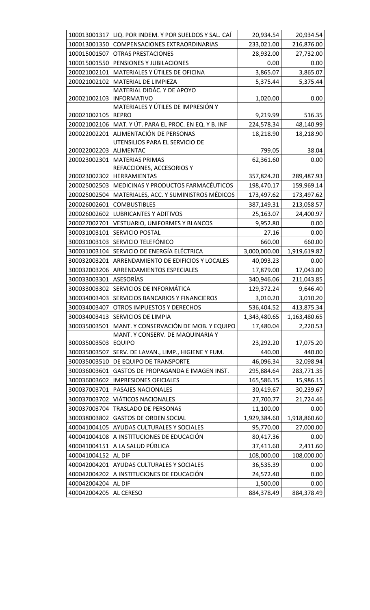|              | 100013001317 LIQ. POR INDEM. Y POR SUELDOS Y SAL. CAÍ | 20,934.54    | 20,934.54               |
|--------------|-------------------------------------------------------|--------------|-------------------------|
| 100013001350 | <b>COMPENSACIONES EXTRAORDINARIAS</b>                 | 233,021.00   | 216,876.00              |
| 100015001507 | <b>OTRAS PRESTACIONES</b>                             | 28,932.00    | 27,732.00               |
| 100015001550 | PENSIONES Y JUBILACIONES                              | 0.00         | 0.00                    |
| 200021002101 | MATERIALES Y ÚTILES DE OFICINA                        | 3,865.07     | 3,865.07                |
| 200021002102 | MATERIAL DE LIMPIEZA                                  | 5,375.44     | 5,375.44                |
|              | MATERIAL DIDÁC. Y DE APOYO                            |              |                         |
| 200021002103 | <b>INFORMATIVO</b>                                    | 1,020.00     | 0.00                    |
|              | MATERIALES Y ÚTILES DE IMPRESIÓN Y                    |              |                         |
| 200021002105 | <b>REPRO</b>                                          | 9,219.99     | 516.35                  |
| 200021002106 | MAT. Y ÚT. PARA EL PROC. EN EQ. Y B. INF              | 224,578.34   | 48,140.99               |
| 200022002201 | ALIMENTACIÓN DE PERSONAS                              | 18,218.90    | 18,218.90               |
|              | UTENSILIOS PARA EL SERVICIO DE                        |              |                         |
| 200022002203 | <b>ALIMENTAC</b>                                      | 799.05       | 38.04                   |
| 200023002301 | <b>MATERIAS PRIMAS</b>                                | 62,361.60    | 0.00                    |
| 200023002302 | REFACCIONES, ACCESORIOS Y<br>HERRAMIENTAS             | 357,824.20   | 289,487.93              |
| 200025002503 | MEDICINAS Y PRODUCTOS FARMACÉUTICOS                   | 198,470.17   | 159,969.14              |
| 200025002504 | MATERIALES, ACC. Y SUMINISTROS MÉDICOS                | 173,497.62   | 173,497.62              |
| 200026002601 | <b>COMBUSTIBLES</b>                                   | 387,149.31   | 213,058.57              |
| 200026002602 | <b>LUBRICANTES Y ADITIVOS</b>                         | 25,163.07    | 24,400.97               |
|              |                                                       |              |                         |
| 200027002701 | <b>VESTUARIO, UNIFORMES Y BLANCOS</b>                 | 9,952.80     | 0.00                    |
| 300031003101 | SERVICIO POSTAL                                       | 27.16        | 0.00                    |
| 300031003103 | SERVICIO TELEFÓNICO                                   | 660.00       | 660.00                  |
| 300031003104 | SERVICIO DE ENERGÍA ELÉCTRICA                         | 3,000,000.00 | 1,919,619.82            |
| 300032003201 | ARRENDAMIENTO DE EDIFICIOS Y LOCALES                  | 40,093.23    | 0.00                    |
| 300032003206 | ARRENDAMIENTOS ESPECIALES                             | 17,879.00    | 17,043.00               |
| 300033003301 | <b>ASESORÍAS</b>                                      | 340,946.06   | 211,043.85              |
| 300033003302 | SERVICIOS DE INFORMÁTICA                              | 129,372.24   | 9,646.40                |
| 300034003403 | SERVICIOS BANCARIOS Y FINANCIEROS                     | 3,010.20     | 3,010.20                |
| 300034003407 | OTROS IMPUESTOS Y DERECHOS                            | 536,404.52   | 413,875.34              |
| 300034003413 | SERVICIOS DE LIMPIA                                   | 1,343,480.65 | 1,163,480.65            |
| 300035003501 | MANT. Y CONSERVACIÓN DE MOB. Y EQUIPO                 | 17,480.04    | 2,220.53                |
| 300035003503 | MANT. Y CONSERV. DE MAQUINARIA Y<br><b>EQUIPO</b>     | 23,292.20    | 17,075.20               |
| 300035003507 | SERV. DE LAVAN., LIMP., HIGIENE Y FUM.                | 440.00       | 440.00                  |
| 300035003510 | DE EQUIPO DE TRANSPORTE                               | 46,096.34    |                         |
| 300036003601 | GASTOS DE PROPAGANDA E IMAGEN INST.                   | 295,884.64   | 32,098.94<br>283,771.35 |
|              |                                                       |              |                         |
| 300036003602 | <b>IMPRESIONES OFICIALES</b>                          | 165,586.15   | 15,986.15               |
| 300037003701 | PASAJES NACIONALES                                    | 30,419.67    | 30,239.67               |
| 300037003702 | <b>VIÁTICOS NACIONALES</b>                            | 27,700.77    | 21,724.46               |
| 300037003704 | <b>TRASLADO DE PERSONAS</b>                           | 11,100.00    | 0.00                    |
| 300038003802 | <b>GASTOS DE ORDEN SOCIAL</b>                         | 1,929,384.60 | 1,918,860.60            |
| 400041004105 | AYUDAS CULTURALES Y SOCIALES                          | 95,770.00    | 27,000.00               |
| 400041004108 | A INSTITUCIONES DE EDUCACIÓN                          | 80,417.36    | 0.00                    |
| 400041004151 | A LA SALUD PÚBLICA                                    | 37,411.60    | 2,411.60                |
| 400041004152 | AL DIF                                                | 108,000.00   | 108,000.00              |
| 400042004201 | AYUDAS CULTURALES Y SOCIALES                          | 36,535.39    | 0.00                    |
| 400042004202 | A INSTITUCIONES DE EDUCACIÓN                          | 24,572.40    | 0.00                    |
| 400042004204 | AL DIF                                                | 1,500.00     | 0.00                    |
| 400042004205 | AL CERESO                                             | 884,378.49   | 884,378.49              |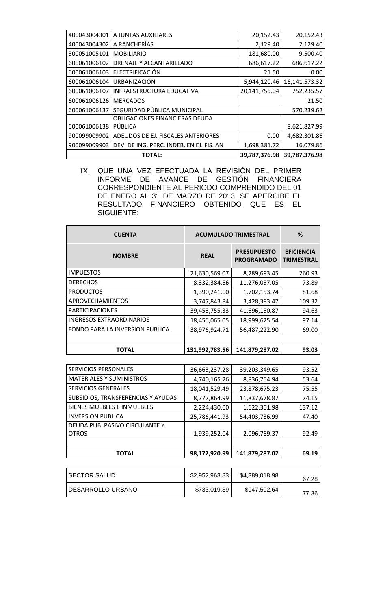| 400043004301 | A JUNTAS AUXILIARES                      | 20,152.43     | 20,152.43     |
|--------------|------------------------------------------|---------------|---------------|
| 400043004302 | A RANCHERÍAS                             | 2,129.40      | 2,129.40      |
| 500051005101 | <b>MOBILIARIO</b>                        | 181,680.00    | 9,500.40      |
| 600061006102 | DRENAJE Y ALCANTARILLADO                 | 686,617.22    | 686,617.22    |
| 600061006103 | ELECTRIFICACIÓN                          | 21.50         | 0.00          |
| 600061006104 | <b>URBANIZACIÓN</b>                      | 5,944,120.46  | 16,141,573.32 |
| 600061006107 | INFRAESTRUCTURA EDUCATIVA                | 20,141,756.04 | 752,235.57    |
| 600061006126 | <b>MERCADOS</b>                          |               | 21.50         |
| 600061006137 | SEGURIDAD PÚBLICA MUNICIPAL              |               | 570,239.62    |
|              | OBLIGACIONES FINANCIERAS DEUDA           |               |               |
| 600061006138 | PÚBLICA                                  |               | 8,621,827.99  |
| 900099009902 | ADEUDOS DE EJ. FISCALES ANTERIORES       | 0.00          | 4,682,301.86  |
| 900099009903 | DEV. DE ING. PERC. INDEB. EN EJ. FIS. AN | 1,698,381.72  | 16,079.86     |
|              | <b>TOTAL:</b>                            | 39,787,376.98 | 39,787,376.98 |

IX. QUE UNA VEZ EFECTUADA LA REVISIÓN DEL PRIMER INFORME DE AVANCE DE GESTIÓN FINANCIERA CORRESPONDIENTE AL PERIODO COMPRENDIDO DEL 01 DE ENERO AL 31 DE MARZO DE 2013, SE APERCIBE EL RESULTADO FINANCIERO OBTENIDO QUE ES EL SIGUIENTE:

| <b>CUENTA</b>                   | <b>ACUMULADO TRIMESTRAL</b> |                                         | %                                      |
|---------------------------------|-----------------------------|-----------------------------------------|----------------------------------------|
| <b>NOMBRE</b>                   | <b>REAL</b>                 | <b>PRESUPUESTO</b><br><b>PROGRAMADO</b> | <b>EFICIENCIA</b><br><b>TRIMESTRAL</b> |
| <b>IMPUESTOS</b>                | 21,630,569.07               | 8,289,693.45                            | 260.93                                 |
| <b>DERECHOS</b>                 | 8,332,384.56                | 11,276,057.05                           | 73.89                                  |
| <b>PRODUCTOS</b>                | 1,390,241.00                | 1,702,153.74                            | 81.68                                  |
| APROVECHAMIENTOS                | 3,747,843.84                | 3,428,383.47                            | 109.32                                 |
| <b>PARTICIPACIONES</b>          | 39,458,755.33               | 41,696,150.87                           | 94.63                                  |
| <b>INGRESOS EXTRAORDINARIOS</b> | 18,456,065.05               | 18,999,625.54                           | 97.14                                  |
| FONDO PARA LA INVERSION PUBLICA | 38,976,924.71               | 56,487,222.90                           | 69.00                                  |
|                                 |                             |                                         |                                        |
| TOTAL                           | 131,992,783.56              | 141,879,287.02                          | 93.03                                  |

| <b>SERVICIOS PERSONALES</b>        | 36,663,237.28 | 39,203,349.65  | 93.52  |
|------------------------------------|---------------|----------------|--------|
| <b>MATERIALES Y SUMINISTROS</b>    | 4,740,165.26  | 8,836,754.94   | 53.64  |
| <b>SERVICIOS GENERALES</b>         | 18,041,529.49 | 23,878,675.23  | 75.55  |
| SUBSIDIOS, TRANSFERENCIAS Y AYUDAS | 8,777,864.99  | 11,837,678.87  | 74.15  |
| <b>BIENES MUEBLES E INMUEBLES</b>  | 2,224,430.00  | 1,622,301.98   | 137.12 |
| <b>INVERSION PUBLICA</b>           | 25,786,441.93 | 54,403,736.99  | 47.40  |
| DEUDA PUB. PASIVO CIRCULANTE Y     |               |                |        |
| <b>OTROS</b>                       | 1,939,252.04  | 2,096,789.37   | 92.49  |
|                                    |               |                |        |
| <b>TOTAL</b>                       | 98,172,920.99 | 141,879,287.02 | 69.19  |

| <b>SECTOR SALUD</b> | \$2,952,963.83 | \$4,389,018.98 | 67.28 |
|---------------------|----------------|----------------|-------|
| DESARROLLO URBANO   | \$733,019.39   | \$947,502.64   | 77.36 |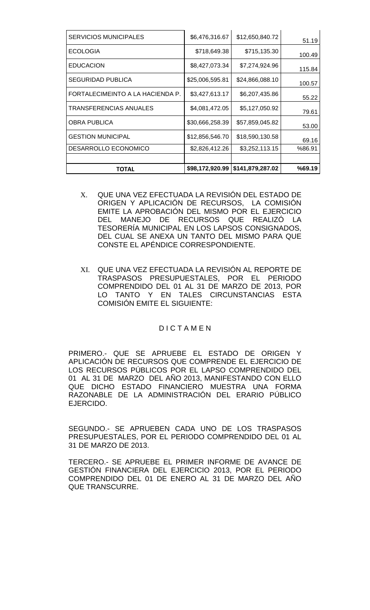| <b>SERVICIOS MUNICIPALES</b>     | \$6,476,316.67  | \$12,650,840.72  | 51.19  |
|----------------------------------|-----------------|------------------|--------|
| <b>ECOLOGIA</b>                  | \$718,649.38    | \$715,135.30     | 100.49 |
| <b>EDUCACION</b>                 | \$8,427,073.34  | \$7,274,924.96   | 115.84 |
| <b>SEGURIDAD PUBLICA</b>         | \$25,006,595.81 | \$24,866,088.10  | 100.57 |
| FORTALECIMEINTO A LA HACIENDA P. | \$3,427,613.17  | \$6,207,435.86   | 55.22  |
| <b>TRANSFERENCIAS ANUALES</b>    | \$4,081,472.05  | \$5,127,050.92   | 79.61  |
| <b>OBRA PUBLICA</b>              | \$30,666,258.39 | \$57,859,045.82  | 53.00  |
| <b>GESTION MUNICIPAL</b>         | \$12,856,546.70 | \$18,590,130.58  | 69.16  |
| <b>DESARROLLO ECONOMICO</b>      | \$2,826,412.26  | \$3,252,113.15   | %86.91 |
|                                  |                 |                  |        |
| <b>TOTAL</b>                     | \$98,172,920.99 | \$141,879,287.02 | %69.19 |

- X. QUE UNA VEZ EFECTUADA LA REVISIÓN DEL ESTADO DE ORIGEN Y APLICACIÓN DE RECURSOS, LA COMISIÓN EMITE LA APROBACIÓN DEL MISMO POR EL EJERCICIO DEL MANEJO DE RECURSOS QUE REALIZÓ LA TESORERÍA MUNICIPAL EN LOS LAPSOS CONSIGNADOS, DEL CUAL SE ANEXA UN TANTO DEL MISMO PARA QUE CONSTE EL APÉNDICE CORRESPONDIENTE.
- XI. QUE UNA VEZ EFECTUADA LA REVISIÓN AL REPORTE DE TRASPASOS PRESUPUESTALES, POR EL PERIODO COMPRENDIDO DEL 01 AL 31 DE MARZO DE 2013, POR LO TANTO Y EN TALES CIRCUNSTANCIAS ESTA COMISIÓN EMITE EL SIGUIENTE:

## **DICTAMEN**

PRIMERO.- QUE SE APRUEBE EL ESTADO DE ORIGEN Y APLICACIÓN DE RECURSOS QUE COMPRENDE EL EJERCICIO DE LOS RECURSOS PÚBLICOS POR EL LAPSO COMPRENDIDO DEL 01 AL 31 DE MARZO DEL AÑO 2013, MANIFESTANDO CON ELLO QUE DICHO ESTADO FINANCIERO MUESTRA UNA FORMA RAZONABLE DE LA ADMINISTRACIÓN DEL ERARIO PÚBLICO EJERCIDO.

SEGUNDO.- SE APRUEBEN CADA UNO DE LOS TRASPASOS PRESUPUESTALES, POR EL PERIODO COMPRENDIDO DEL 01 AL 31 DE MARZO DE 2013.

TERCERO.- SE APRUEBE EL PRIMER INFORME DE AVANCE DE GESTIÓN FINANCIERA DEL EJERCICIO 2013, POR EL PERIODO COMPRENDIDO DEL 01 DE ENERO AL 31 DE MARZO DEL AÑO QUE TRANSCURRE.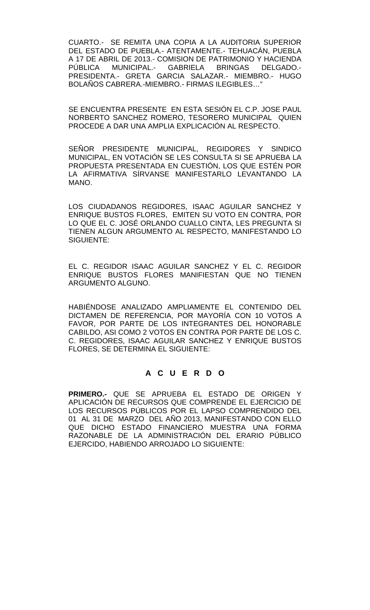CUARTO.- SE REMITA UNA COPIA A LA AUDITORIA SUPERIOR DEL ESTADO DE PUEBLA.- ATENTAMENTE.- TEHUACÁN, PUEBLA A 17 DE ABRIL DE 2013.- COMISION DE PATRIMONIO Y HACIENDA<br>PÚBLICA MUNICIPAL.- GABRIELA BRINGAS DELGADO.-MUNICIPAL.-PRESIDENTA.- GRETA GARCIA SALAZAR.- MIEMBRO.- HUGO BOLAÑOS CABRERA.-MIEMBRO.- FIRMAS ILEGIBLES…"

SE ENCUENTRA PRESENTE EN ESTA SESIÓN EL C.P. JOSE PAUL NORBERTO SANCHEZ ROMERO, TESORERO MUNICIPAL QUIEN PROCEDE A DAR UNA AMPLIA EXPLICACIÓN AL RESPECTO.

SEÑOR PRESIDENTE MUNICIPAL, REGIDORES Y SINDICO MUNICIPAL, EN VOTACIÓN SE LES CONSULTA SI SE APRUEBA LA PROPUESTA PRESENTADA EN CUESTIÓN, LOS QUE ESTÉN POR LA AFIRMATIVA SÍRVANSE MANIFESTARLO LEVANTANDO LA MANO.

LOS CIUDADANOS REGIDORES, ISAAC AGUILAR SANCHEZ Y ENRIQUE BUSTOS FLORES, EMITEN SU VOTO EN CONTRA, POR LO QUE EL C. JOSÉ ORLANDO CUALLO CINTA, LES PREGUNTA SI TIENEN ALGUN ARGUMENTO AL RESPECTO, MANIFESTANDO LO SIGUIENTE:

EL C. REGIDOR ISAAC AGUILAR SANCHEZ Y EL C. REGIDOR ENRIQUE BUSTOS FLORES MANIFIESTAN QUE NO TIENEN ARGUMENTO ALGUNO.

HABIÉNDOSE ANALIZADO AMPLIAMENTE EL CONTENIDO DEL DICTAMEN DE REFERENCIA, POR MAYORÍA CON 10 VOTOS A FAVOR, POR PARTE DE LOS INTEGRANTES DEL HONORABLE CABILDO, ASI COMO 2 VOTOS EN CONTRA POR PARTE DE LOS C. C. REGIDORES, ISAAC AGUILAR SANCHEZ Y ENRIQUE BUSTOS FLORES, SE DETERMINA EL SIGUIENTE:

# **A C U E R D O**

**PRIMERO.-** QUE SE APRUEBA EL ESTADO DE ORIGEN Y APLICACIÓN DE RECURSOS QUE COMPRENDE EL EJERCICIO DE LOS RECURSOS PÚBLICOS POR EL LAPSO COMPRENDIDO DEL 01 AL 31 DE MARZO DEL AÑO 2013, MANIFESTANDO CON ELLO QUE DICHO ESTADO FINANCIERO MUESTRA UNA FORMA RAZONABLE DE LA ADMINISTRACIÓN DEL ERARIO PÚBLICO EJERCIDO, HABIENDO ARROJADO LO SIGUIENTE: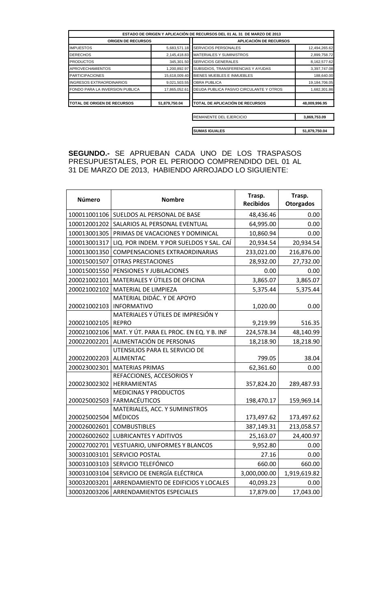|                                 |               | ESTADO DE ORIGEN Y APLICACIÓN DE RECURSOS DEL 01 AL 31 DE MARZO DE 2013 |               |
|---------------------------------|---------------|-------------------------------------------------------------------------|---------------|
| <b>ORIGEN DE RECURSOS</b>       |               | <b>APLICACIÓN DE RECURSOS</b>                                           |               |
| <b>IMPUESTOS</b>                | 5,683,571.18  | <b>SERVICIOS PERSONALES</b>                                             | 12,494,265.62 |
| <b>DERECHOS</b>                 | 2,145,418.83  | <b>MATERIALES Y SUMINISTROS</b>                                         | 2,899,758.72  |
| <b>PRODUCTOS</b>                | 345,301.50    | <b>SERVICIOS GENERALES</b>                                              | 8,162,577.62  |
| <b>APROVECHAMIENTOS</b>         | 1,200,892.97  | SUBSIDIOS, TRANSFERENCIAS Y AYUDAS                                      | 3,397,747.08  |
| <b>PARTICIPACIONES</b>          | 15,618,009.40 | BIENES MUEBLES E INMUEBLES                                              | 188,640.00    |
| <b>INGRESOS EXTRAORDINARIOS</b> | 9,021,503.55  | <b>OBRA PUBLICA</b>                                                     | 19,184,706.05 |
| FONDO PARA LA INVERSION PUBLICA | 17,865,052.61 | DEUDA PUBLICA PASIVO CIRCULANTE Y OTROS                                 | 1,682,301.86  |
| TOTAL DE ORIGEN DE RECURSOS     | 51,879,750.04 | <b>ITOTAL DE APLICACIÓN DE RECURSOS</b>                                 | 48,009,996.95 |
|                                 |               | <b>REMANENTE DEL EJERCICIO</b>                                          | 3,869,753.09  |

**SUMAS IGUALES 51,879,750.04**

**SEGUNDO.-** SE APRUEBAN CADA UNO DE LOS TRASPASOS PRESUPUESTALES, POR EL PERIODO COMPRENDIDO DEL 01 AL 31 DE MARZO DE 2013, HABIENDO ARROJADO LO SIGUIENTE:

| Número       | <b>Nombre</b>                                                             | Trasp.<br><b>Recibidos</b> | Trasp.<br><b>Otorgados</b> |
|--------------|---------------------------------------------------------------------------|----------------------------|----------------------------|
|              | 100011001106 SUELDOS AL PERSONAL DE BASE                                  | 48,436.46                  | 0.00                       |
| 100012001202 | SALARIOS AL PERSONAL EVENTUAL                                             | 64,995.00                  | 0.00                       |
| 100013001305 | PRIMAS DE VACACIONES Y DOMINICAL                                          | 10,860.94                  | 0.00                       |
| 100013001317 | LIQ. POR INDEM. Y POR SUELDOS Y SAL. CAÍ                                  | 20,934.54                  | 20,934.54                  |
| 100013001350 | <b>COMPENSACIONES EXTRAORDINARIAS</b>                                     | 233,021.00                 | 216,876.00                 |
| 100015001507 | <b>OTRAS PRESTACIONES</b>                                                 | 28,932.00                  | 27,732.00                  |
| 100015001550 | PENSIONES Y JUBILACIONES                                                  | 0.00                       | 0.00                       |
| 200021002101 | MATERIALES Y ÚTILES DE OFICINA                                            | 3,865.07                   | 3,865.07                   |
| 200021002102 | MATERIAL DE LIMPIEZA                                                      | 5,375.44                   | 5,375.44                   |
| 200021002103 | MATERIAL DIDÁC. Y DE APOYO<br><b>INFORMATIVO</b>                          | 1,020.00                   | 0.00                       |
| 200021002105 | MATERIALES Y ÚTILES DE IMPRESIÓN Y<br><b>REPRO</b>                        | 9,219.99                   | 516.35                     |
| 200021002106 | MAT. Y ÚT. PARA EL PROC. EN EQ. Y B. INF                                  | 224,578.34                 | 48,140.99                  |
| 200022002201 | ALIMENTACIÓN DE PERSONAS                                                  | 18,218.90                  | 18,218.90                  |
|              | UTENSILIOS PARA EL SERVICIO DE                                            |                            |                            |
| 200022002203 | <b>ALIMENTAC</b>                                                          | 799.05                     | 38.04                      |
| 200023002301 | <b>MATERIAS PRIMAS</b>                                                    | 62,361.60                  | 0.00                       |
| 200023002302 | REFACCIONES, ACCESORIOS Y<br>HERRAMIENTAS<br><b>MEDICINAS Y PRODUCTOS</b> | 357,824.20                 | 289,487.93                 |
| 200025002503 | FARMACÉUTICOS                                                             | 198,470.17                 | 159,969.14                 |
| 200025002504 | MATERIALES, ACC. Y SUMINISTROS<br><b>MÉDICOS</b>                          | 173,497.62                 | 173,497.62                 |
| 200026002601 | <b>COMBUSTIBLES</b>                                                       | 387,149.31                 | 213,058.57                 |
| 200026002602 | <b>LUBRICANTES Y ADITIVOS</b>                                             | 25,163.07                  | 24,400.97                  |
| 200027002701 | <b>VESTUARIO, UNIFORMES Y BLANCOS</b>                                     | 9,952.80                   | 0.00                       |
| 300031003101 | SERVICIO POSTAL                                                           | 27.16                      | 0.00                       |
| 300031003103 | SERVICIO TELEFÓNICO                                                       | 660.00                     | 660.00                     |
| 300031003104 | SERVICIO DE ENERGÍA ELÉCTRICA                                             | 3,000,000.00               | 1,919,619.82               |
| 300032003201 | ARRENDAMIENTO DE EDIFICIOS Y LOCALES                                      | 40,093.23                  | 0.00                       |
| 300032003206 | ARRENDAMIENTOS ESPECIALES                                                 | 17,879.00                  | 17,043.00                  |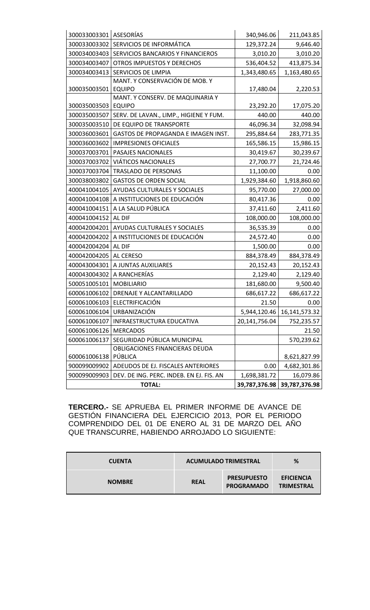| 300033003301 ASESORÍAS |                                          | 340,946.06    | 211,043.85       |
|------------------------|------------------------------------------|---------------|------------------|
| 300033003302           | SERVICIOS DE INFORMÁTICA                 | 129,372.24    | 9,646.40         |
| 300034003403           | SERVICIOS BANCARIOS Y FINANCIEROS        | 3,010.20      | 3,010.20         |
| 300034003407           | OTROS IMPUESTOS Y DERECHOS               | 536,404.52    | 413,875.34       |
| 300034003413           | SERVICIOS DE LIMPIA                      | 1,343,480.65  | 1,163,480.65     |
|                        | MANT. Y CONSERVACIÓN DE MOB. Y           |               |                  |
| 300035003501           | <b>EQUIPO</b>                            | 17,480.04     | 2,220.53         |
|                        | MANT. Y CONSERV. DE MAQUINARIA Y         |               |                  |
| 300035003503           | <b>EQUIPO</b>                            | 23,292.20     | 17,075.20        |
| 300035003507           | SERV. DE LAVAN., LIMP., HIGIENE Y FUM.   | 440.00        | 440.00           |
| 300035003510           | DE EQUIPO DE TRANSPORTE                  | 46,096.34     | 32,098.94        |
| 300036003601           | GASTOS DE PROPAGANDA E IMAGEN INST.      | 295,884.64    | 283,771.35       |
| 300036003602           | <b>IMPRESIONES OFICIALES</b>             | 165,586.15    | 15,986.15        |
| 300037003701           | PASAJES NACIONALES                       | 30,419.67     | 30,239.67        |
| 300037003702           | <b>VIÁTICOS NACIONALES</b>               | 27,700.77     | 21,724.46        |
| 300037003704           | <b>TRASLADO DE PERSONAS</b>              | 11,100.00     | 0.00             |
| 300038003802           | <b>GASTOS DE ORDEN SOCIAL</b>            | 1,929,384.60  | 1,918,860.60     |
| 400041004105           | AYUDAS CULTURALES Y SOCIALES             | 95,770.00     | 27,000.00        |
| 400041004108           | A INSTITUCIONES DE EDUCACIÓN             | 80,417.36     | 0.00             |
| 400041004151           | A LA SALUD PÚBLICA                       | 37,411.60     | 2,411.60         |
| 400041004152           | AL DIF                                   | 108,000.00    | 108,000.00       |
| 400042004201           | AYUDAS CULTURALES Y SOCIALES             | 36,535.39     | 0.00             |
| 400042004202           | A INSTITUCIONES DE EDUCACIÓN             | 24,572.40     | 0.00             |
| 400042004204           | AL DIF                                   | 1,500.00      | 0.00             |
| 400042004205           | AL CERESO                                | 884,378.49    | 884,378.49       |
| 400043004301           | A JUNTAS AUXILIARES                      | 20,152.43     | 20,152.43        |
| 400043004302           | A RANCHERÍAS                             | 2,129.40      | 2,129.40         |
| 500051005101           | <b>MOBILIARIO</b>                        | 181,680.00    | 9,500.40         |
| 600061006102           | DRENAJE Y ALCANTARILLADO                 | 686,617.22    | 686,617.22       |
| 600061006103           | ELECTRIFICACIÓN                          | 21.50         | 0.00             |
| 600061006104           | URBANIZACIÓN                             | 5,944,120.46  | 16, 141, 573. 32 |
| 600061006107           | INFRAESTRUCTURA EDUCATIVA                | 20,141,756.04 | 752,235.57       |
| 600061006126           | <b>MERCADOS</b>                          |               | 21.50            |
| 600061006137           | SEGURIDAD PÚBLICA MUNICIPAL              |               | 570,239.62       |
|                        | OBLIGACIONES FINANCIERAS DEUDA           |               |                  |
| 600061006138           | PÚBLICA                                  |               | 8,621,827.99     |
| 900099009902           | ADEUDOS DE EJ. FISCALES ANTERIORES       | 0.00          | 4,682,301.86     |
| 900099009903           | DEV. DE ING. PERC. INDEB. EN EJ. FIS. AN | 1,698,381.72  | 16,079.86        |
|                        | <b>TOTAL:</b>                            | 39,787,376.98 | 39,787,376.98    |

**TERCERO.-** SE APRUEBA EL PRIMER INFORME DE AVANCE DE GESTIÓN FINANCIERA DEL EJERCICIO 2013, POR EL PERIODO COMPRENDIDO DEL 01 DE ENERO AL 31 DE MARZO DEL AÑO QUE TRANSCURRE, HABIENDO ARROJADO LO SIGUIENTE:

| <b>CUENTA</b> | <b>ACUMULADO TRIMESTRAL</b> |                                         | %                                      |
|---------------|-----------------------------|-----------------------------------------|----------------------------------------|
| <b>NOMBRE</b> | <b>REAL</b>                 | <b>PRESUPUESTO</b><br><b>PROGRAMADO</b> | <b>EFICIENCIA</b><br><b>TRIMESTRAL</b> |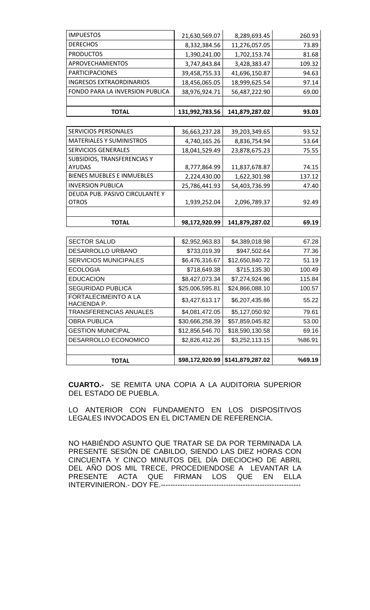| <b>IMPUESTOS</b>                | 21,630,569.07  | 8,289,693.45   | 260.93 |
|---------------------------------|----------------|----------------|--------|
| <b>DERECHOS</b>                 | 8,332,384.56   | 11,276,057.05  | 73.89  |
| <b>PRODUCTOS</b>                | 1,390,241.00   | 1,702,153.74   | 81.68  |
| APROVECHAMIENTOS                | 3,747,843.84   | 3,428,383.47   | 109.32 |
| <b>PARTICIPACIONES</b>          | 39,458,755.33  | 41,696,150.87  | 94.63  |
| <b>INGRESOS EXTRAORDINARIOS</b> | 18,456,065.05  | 18,999,625.54  | 97.14  |
| FONDO PARA LA INVERSION PUBLICA | 38,976,924.71  | 56,487,222.90  | 69.00  |
|                                 |                |                |        |
| <b>TOTAL</b>                    | 131,992,783.56 | 141,879,287.02 | 93.03  |

| TOTAL                             | 98,172,920.99 | 141,879,287.02 | 69.19  |
|-----------------------------------|---------------|----------------|--------|
|                                   |               |                |        |
| <b>OTROS</b>                      | 1,939,252.04  | 2,096,789.37   | 92.49  |
| DEUDA PUB. PASIVO CIRCULANTE Y    |               |                |        |
| <b>INVERSION PUBLICA</b>          | 25,786,441.93 | 54,403,736.99  | 47.40  |
| <b>BIENES MUEBLES E INMUEBLES</b> | 2,224,430.00  | 1,622,301.98   | 137.12 |
| <b>AYUDAS</b>                     | 8,777,864.99  | 11,837,678.87  | 74.15  |
| SUBSIDIOS, TRANSFERENCIAS Y       |               |                |        |
| <b>SERVICIOS GENERALES</b>        | 18,041,529.49 | 23,878,675.23  | 75.55  |
| <b>MATERIALES Y SUMINISTROS</b>   | 4,740,165.26  | 8,836,754.94   | 53.64  |
| <b>SERVICIOS PERSONALES</b>       | 36,663,237.28 | 39,203,349.65  | 93.52  |

| <b>SECTOR SALUD</b>                               | \$2,952,963.83  | \$4,389,018.98   | 67.28  |
|---------------------------------------------------|-----------------|------------------|--------|
| <b>DESARROLLO URBANO</b>                          | \$733,019.39    | \$947,502.64     | 77.36  |
| <b>SERVICIOS MUNICIPALES</b>                      | \$6,476,316.67  | \$12,650,840.72  | 51.19  |
| <b>ECOLOGIA</b>                                   | \$718,649.38    | \$715,135.30     | 100.49 |
| <b>EDUCACION</b>                                  | \$8,427,073.34  | \$7,274,924.96   | 115.84 |
| <b>SEGURIDAD PUBLICA</b>                          | \$25,006,595.81 | \$24,866,088.10  | 100.57 |
| <b>FORTALECIMEINTO A LA</b><br><b>HACIENDA P.</b> | \$3,427,613.17  | \$6,207,435.86   | 55.22  |
| <b>TRANSFERENCIAS ANUALES</b>                     | \$4,081,472.05  | \$5,127,050.92   | 79.61  |
| <b>OBRA PUBLICA</b>                               | \$30,666,258.39 | \$57,859,045.82  | 53.00  |
| <b>GESTION MUNICIPAL</b>                          | \$12,856,546.70 | \$18,590,130.58  | 69.16  |
| DESARROLLO ECONOMICO                              | \$2,826,412.26  | \$3,252,113.15   | %86.91 |
|                                                   |                 |                  |        |
| <b>TOTAL</b>                                      | \$98,172,920.99 | \$141,879,287.02 | %69.19 |

**CUARTO.-** SE REMITA UNA COPIA A LA AUDITORIA SUPERIOR DEL ESTADO DE PUEBLA.

LO ANTERIOR CON FUNDAMENTO EN LOS DISPOSITIVOS LEGALES INVOCADOS EN EL DICTAMEN DE REFERENCIA.

NO HABIÉNDO ASUNTO QUE TRATAR SE DA POR TERMINADA LA PRESENTE SESIÓN DE CABILDO, SIENDO LAS DIEZ HORAS CON CINCUENTA Y CINCO MINUTOS DEL DÍA DIECIOCHO DE ABRIL DEL AÑO DOS MIL TRECE, PROCEDIENDOSE A LEVANTAR LA PRESENTE ACTA QUE FIRMAN LOS QUE EN ELLA INTERVINIERON.- DOY FE.----------------------------------------------------------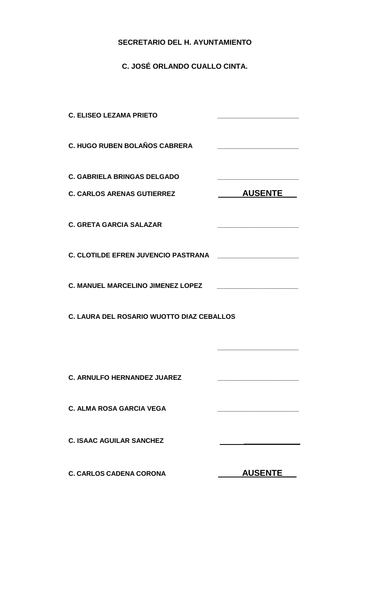# **SECRETARIO DEL H. AYUNTAMIENTO**

**C. JOSÉ ORLANDO CUALLO CINTA.**

| <b>C. ELISEO LEZAMA PRIETO</b>                                          | <u> 1989 - Johann Barbara, martin amerikan basar dan basa dan basa dalam basa dalam basa dalam basa dalam basa da</u>                                                                                                                |  |
|-------------------------------------------------------------------------|--------------------------------------------------------------------------------------------------------------------------------------------------------------------------------------------------------------------------------------|--|
| <b>C. HUGO RUBEN BOLAÑOS CABRERA</b>                                    |                                                                                                                                                                                                                                      |  |
| <b>C. GABRIELA BRINGAS DELGADO</b><br><b>C. CARLOS ARENAS GUTIERREZ</b> | <b>AUSENTE</b>                                                                                                                                                                                                                       |  |
| <b>C. GRETA GARCIA SALAZAR</b>                                          | <u> 1980 - Johann John Harry Harry Harry Harry Harry Harry Harry Harry Harry Harry Harry Harry Harry Harry Harry Harry Harry Harry Harry Harry Harry Harry Harry Harry Harry Harry Harry Harry Harry Harry Harry Harry Harry Har</u> |  |
| <b>C. CLOTILDE EFREN JUVENCIO PASTRANA</b>                              | <u> 1980 - Johann John Stone, markin san</u>                                                                                                                                                                                         |  |
| <b>C. MANUEL MARCELINO JIMENEZ LOPEZ</b>                                | <u> 1989 - Johann John Stone, mars eta biztanleria (h. 1989).</u>                                                                                                                                                                    |  |
| <b>C. LAURA DEL ROSARIO WUOTTO DIAZ CEBALLOS</b>                        |                                                                                                                                                                                                                                      |  |
|                                                                         |                                                                                                                                                                                                                                      |  |
| <b>C. ARNULFO HERNANDEZ JUAREZ</b>                                      |                                                                                                                                                                                                                                      |  |
| <b>C. ALMA ROSA GARCIA VEGA</b>                                         |                                                                                                                                                                                                                                      |  |
| <b>C. ISAAC AGUILAR SANCHEZ</b>                                         |                                                                                                                                                                                                                                      |  |
| <b>C. CARLOS CADENA CORONA</b>                                          | <b>AUSENTE</b>                                                                                                                                                                                                                       |  |